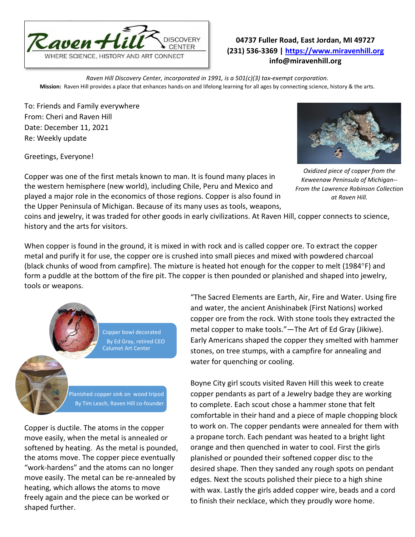

## **04737 Fuller Road, East Jordan, MI 49727 (231) 536-3369 | [https://www.miravenhill.org](https://www.miravenhill.org/) info@miravenhill.org**

*Raven Hill Discovery Center, incorporated in 1991, is a 501(c)(3) tax-exempt corporation.* **Mission:** Raven Hill provides a place that enhances hands-on and lifelong learning for all ages by connecting science, history & the arts.

To: Friends and Family everywhere From: Cheri and Raven Hill Date: December 11, 2021 Re: Weekly update

Greetings, Everyone!



*Oxidized piece of copper from the Keweenaw Peninsula of Michigan-- From the Lawrence Robinson Collection at Raven Hill.*

Copper was one of the first metals known to man. It is found many places in the western hemisphere (new world), including Chile, Peru and Mexico and played a major role in the economics of those regions. Copper is also found in the Upper Peninsula of Michigan. Because of its many uses as tools, weapons,

coins and jewelry, it was traded for other goods in early civilizations. At Raven Hill, copper connects to science, history and the arts for visitors.

When copper is found in the ground, it is mixed in with rock and is called copper ore. To extract the copper metal and purify it for use, the copper ore is crushed into small pieces and mixed with powdered charcoal (black chunks of wood from campfire). The mixture is heated hot enough for the copper to melt (1984°F) and form a puddle at the bottom of the fire pit. The copper is then pounded or planished and shaped into jewelry, tools or weapons.



Copper bowl decorated By Ed Gray, retired CEO Calumet Art Center

Planished copper sink on wood tripod By Tim Leach, Raven Hill co-founder

Copper is ductile. The atoms in the copper move easily, when the metal is annealed or softened by heating. As the metal is pounded, the atoms move. The copper piece eventually "work-hardens" and the atoms can no longer move easily. The metal can be re-annealed by heating, which allows the atoms to move freely again and the piece can be worked or shaped further.

"The Sacred Elements are Earth, Air, Fire and Water. Using fire and water, the ancient Anishinabek (First Nations) worked copper ore from the rock. With stone tools they extracted the metal copper to make tools."—The Art of Ed Gray (Jikiwe). Early Americans shaped the copper they smelted with hammer stones, on tree stumps, with a campfire for annealing and water for quenching or cooling.

Boyne City girl scouts visited Raven Hill this week to create copper pendants as part of a Jewelry badge they are working to complete. Each scout chose a hammer stone that felt comfortable in their hand and a piece of maple chopping block to work on. The copper pendants were annealed for them with a propane torch. Each pendant was heated to a bright light orange and then quenched in water to cool. First the girls planished or pounded their softened copper disc to the desired shape. Then they sanded any rough spots on pendant edges. Next the scouts polished their piece to a high shine with wax. Lastly the girls added copper wire, beads and a cord to finish their necklace, which they proudly wore home.